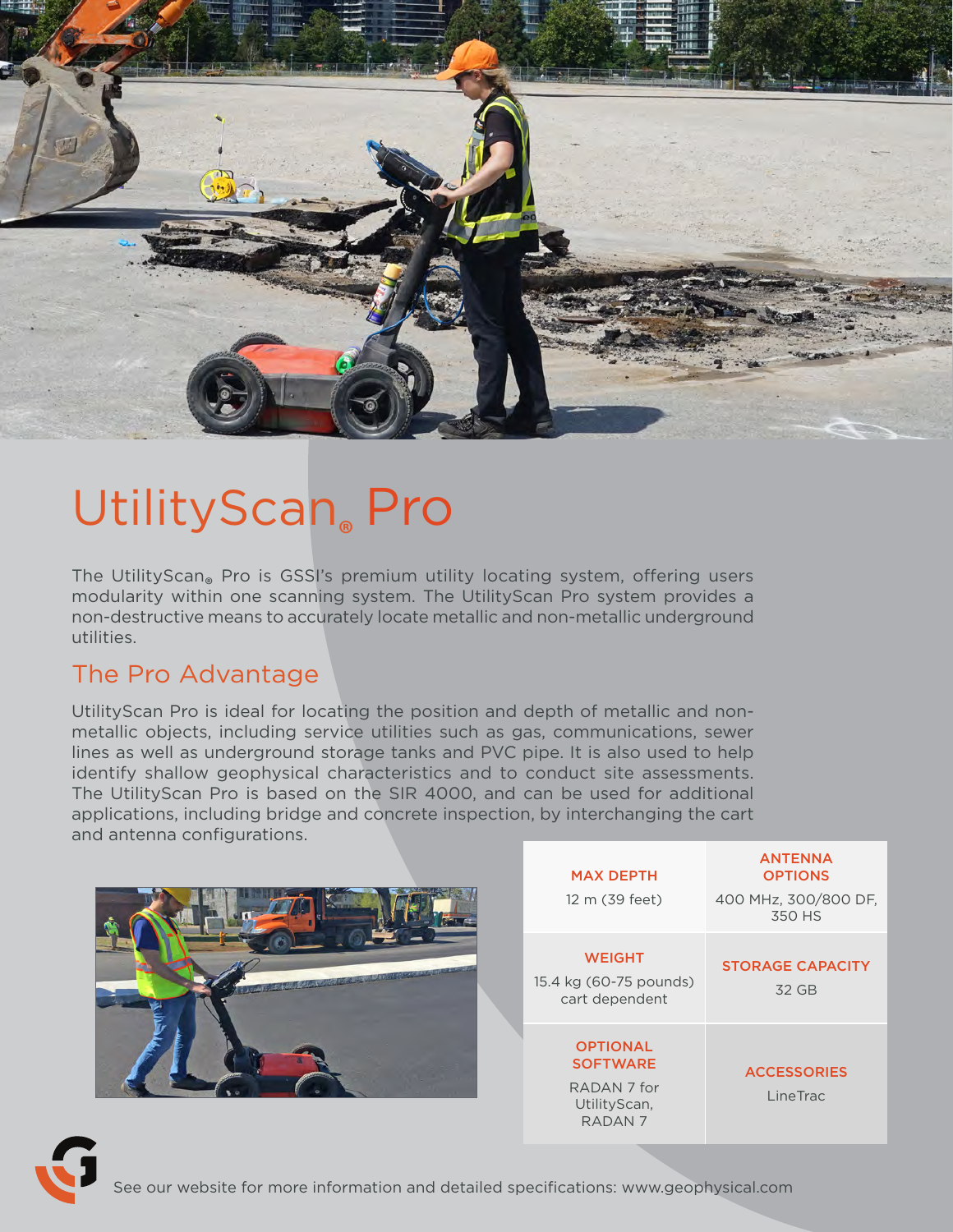

# UtilityScan**®** Pro

The UtilityScan® Pro is GSSI's premium utility locating system, offering users The Utility Scan® modularity within one scanning system. The UtilityScan Pro system provides a non-destructive means to accurately locate metallic and non-metallic underground utilities.

### The Pro Advantage

UtilityScan Pro is ideal for locating the position and depth of metallic and nonmetallic objects, including service utilities such as gas, communications, sewer lines as well as underground storage tanks and PVC pipe. It is also used to help identify shallow geophysical characteristics and to conduct site assessments. The UtilityScan Pro is based on the SIR 4000, and can be used for additional applications, including bridge and concrete inspection, by interchanging the cart and antenna configurations.

|  | <b>MAX DEPTH</b>                                                                        | <b>OPTIONS</b>                   |
|--|-----------------------------------------------------------------------------------------|----------------------------------|
|  | 12 m (39 feet)                                                                          | 400 MHz, 300/800 DF,<br>350 HS   |
|  | <b>WEIGHT</b><br>15.4 kg (60-75 pounds)<br>cart dependent                               | <b>STORAGE CAPACITY</b><br>32 GB |
|  | <b>OPTIONAL</b><br><b>SOFTWARE</b><br>RADAN 7 for<br>UtilityScan,<br>RADAN <sub>7</sub> | <b>ACCESSORIES</b><br>LineTrac   |

**ANTENNA**